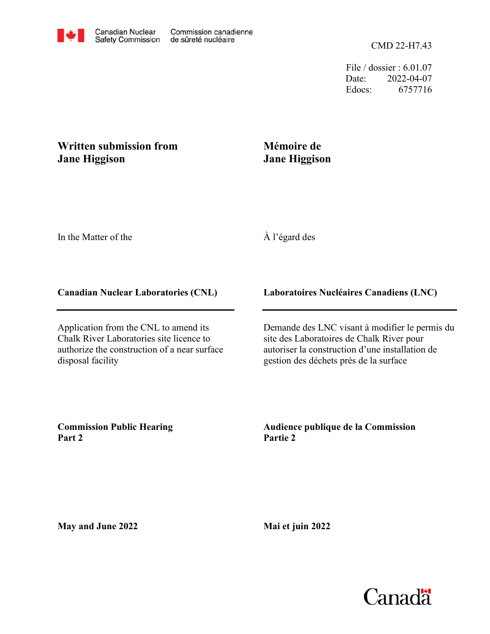File / dossier : 6.01.07 Date: 2022-04-07 Edocs: 6757716

# **Written submission from Jane Higgison**

# **Mémoire de Jane Higgison**

In the Matter of the

# À l'égard des

## **Canadian Nuclear Laboratories (CNL)**

Application from the CNL to amend its Chalk River Laboratories site licence to authorize the construction of a near surface disposal facility

## **Laboratoires Nucléaires Canadiens (LNC)**

Demande des LNC visant à modifier le permis du site des Laboratoires de Chalk River pour autoriser la construction d'une installation de gestion des déchets près de la surface

**Commission Public Hearing Part 2**

**Audience publique de la Commission Partie 2**

**May and June 2022**

**Mai et juin 2022**